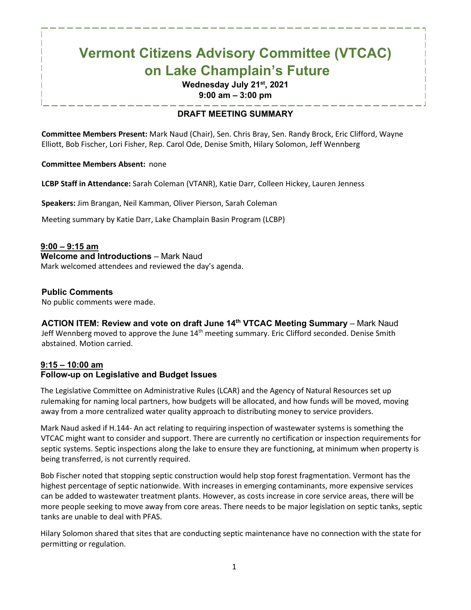# **Vermont Citizens Advisory Committee (VTCAC) on Lake Champlain's Future**

#### **Wednesday July 21st, 2021 9:00 am – 3:00 pm**

# **DRAFT MEETING SUMMARY**

**Committee Members Present:** Mark Naud (Chair), Sen. Chris Bray, Sen. Randy Brock, Eric Clifford, Wayne Elliott, Bob Fischer, Lori Fisher, Rep. Carol Ode, Denise Smith, Hilary Solomon, Jeff Wennberg

#### **Committee Members Absent:** none

**LCBP Staff in Attendance:** Sarah Coleman (VTANR), Katie Darr, Colleen Hickey, Lauren Jenness

**Speakers:** Jim Brangan, Neil Kamman, Oliver Pierson, Sarah Coleman

Meeting summary by Katie Darr, Lake Champlain Basin Program (LCBP)

#### **9:00 – 9:15 am**

**Welcome and Introductions** – Mark Naud

Mark welcomed attendees and reviewed the day's agenda.

#### **Public Comments**

No public comments were made.

#### **ACTION ITEM: Review and vote on draft June 14th VTCAC Meeting Summary** – Mark Naud

Jeff Wennberg moved to approve the June 14<sup>th</sup> meeting summary. Eric Clifford seconded. Denise Smith abstained. Motion carried.

# **9:15 – 10:00 am**

#### **Follow-up on Legislative and Budget Issues**

The Legislative Committee on Administrative Rules (LCAR) and the Agency of Natural Resources set up rulemaking for naming local partners, how budgets will be allocated, and how funds will be moved, moving away from a more centralized water quality approach to distributing money to service providers.

Mark Naud asked if H.144- An act relating to requiring inspection of wastewater systems is something the VTCAC might want to consider and support. There are currently no certification or inspection requirements for septic systems. Septic inspections along the lake to ensure they are functioning, at minimum when property is being transferred, is not currently required.

Bob Fischer noted that stopping septic construction would help stop forest fragmentation. Vermont has the highest percentage of septic nationwide. With increases in emerging contaminants, more expensive services can be added to wastewater treatment plants. However, as costs increase in core service areas, there will be more people seeking to move away from core areas. There needs to be major legislation on septic tanks, septic tanks are unable to deal with PFAS.

Hilary Solomon shared that sites that are conducting septic maintenance have no connection with the state for permitting or regulation.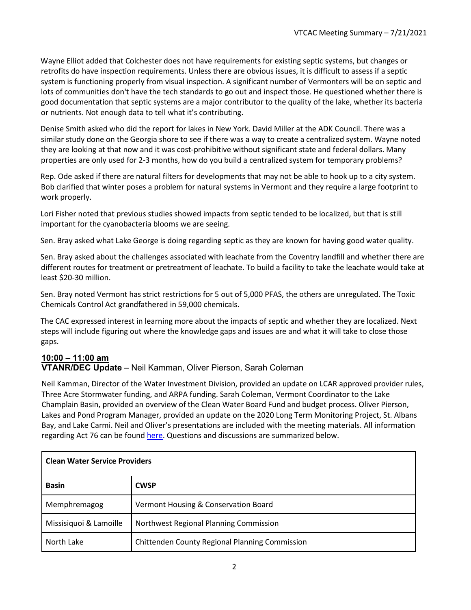Wayne Elliot added that Colchester does not have requirements for existing septic systems, but changes or retrofits do have inspection requirements. Unless there are obvious issues, it is difficult to assess if a septic system is functioning properly from visual inspection. A significant number of Vermonters will be on septic and lots of communities don't have the tech standards to go out and inspect those. He questioned whether there is good documentation that septic systems are a major contributor to the quality of the lake, whether its bacteria or nutrients. Not enough data to tell what it's contributing.

Denise Smith asked who did the report for lakes in New York. David Miller at the ADK Council. There was a similar study done on the Georgia shore to see if there was a way to create a centralized system. Wayne noted they are looking at that now and it was cost-prohibitive without significant state and federal dollars. Many properties are only used for 2-3 months, how do you build a centralized system for temporary problems?

Rep. Ode asked if there are natural filters for developments that may not be able to hook up to a city system. Bob clarified that winter poses a problem for natural systems in Vermont and they require a large footprint to work properly.

Lori Fisher noted that previous studies showed impacts from septic tended to be localized, but that is still important for the cyanobacteria blooms we are seeing.

Sen. Bray asked what Lake George is doing regarding septic as they are known for having good water quality.

Sen. Bray asked about the challenges associated with leachate from the Coventry landfill and whether there are different routes for treatment or pretreatment of leachate. To build a facility to take the leachate would take at least \$20-30 million.

Sen. Bray noted Vermont has strict restrictions for 5 out of 5,000 PFAS, the others are unregulated. The Toxic Chemicals Control Act grandfathered in 59,000 chemicals.

The CAC expressed interest in learning more about the impacts of septic and whether they are localized. Next steps will include figuring out where the knowledge gaps and issues are and what it will take to close those gaps.

# **10:00 – 11:00 am**

# **VTANR/DEC Update** – Neil Kamman, Oliver Pierson, Sarah Coleman

Neil Kamman, Director of the Water Investment Division, provided an update on LCAR approved provider rules, Three Acre Stormwater funding, and ARPA funding. Sarah Coleman, Vermont Coordinator to the Lake Champlain Basin, provided an overview of the Clean Water Board Fund and budget process. Oliver Pierson, Lakes and Pond Program Manager, provided an update on the 2020 Long Term Monitoring Project, St. Albans Bay, and Lake Carmi. Neil and Oliver's presentations are included with the meeting materials. All information regarding Act 76 can be found [here.](https://dec.vermont.gov/water-investment/statues-rules-policies/act-76#overview) Questions and discussions are summarized below.

| <b>Clean Water Service Providers</b> |                                                |
|--------------------------------------|------------------------------------------------|
| <b>Basin</b>                         | <b>CWSP</b>                                    |
| Memphremagog                         | Vermont Housing & Conservation Board           |
| Missisiquoi & Lamoille               | Northwest Regional Planning Commission         |
| North Lake                           | Chittenden County Regional Planning Commission |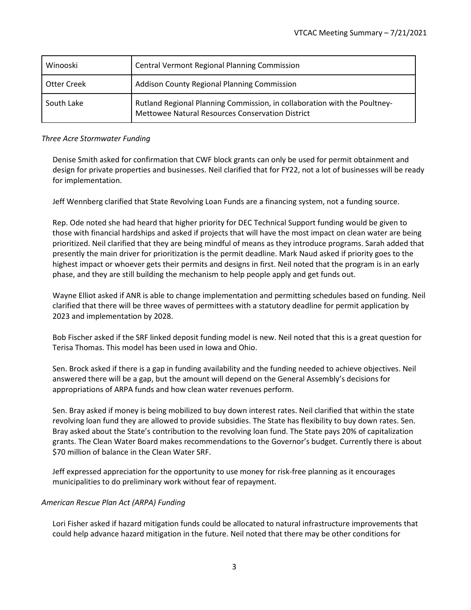| Winooski    | <b>Central Vermont Regional Planning Commission</b>                                                                           |
|-------------|-------------------------------------------------------------------------------------------------------------------------------|
| Otter Creek | Addison County Regional Planning Commission                                                                                   |
| South Lake  | Rutland Regional Planning Commission, in collaboration with the Poultney-<br>Mettowee Natural Resources Conservation District |

#### *Three Acre Stormwater Funding*

Denise Smith asked for confirmation that CWF block grants can only be used for permit obtainment and design for private properties and businesses. Neil clarified that for FY22, not a lot of businesses will be ready for implementation.

Jeff Wennberg clarified that State Revolving Loan Funds are a financing system, not a funding source.

Rep. Ode noted she had heard that higher priority for DEC Technical Support funding would be given to those with financial hardships and asked if projects that will have the most impact on clean water are being prioritized. Neil clarified that they are being mindful of means as they introduce programs. Sarah added that presently the main driver for prioritization is the permit deadline. Mark Naud asked if priority goes to the highest impact or whoever gets their permits and designs in first. Neil noted that the program is in an early phase, and they are still building the mechanism to help people apply and get funds out.

Wayne Elliot asked if ANR is able to change implementation and permitting schedules based on funding. Neil clarified that there will be three waves of permittees with a statutory deadline for permit application by 2023 and implementation by 2028.

Bob Fischer asked if the SRF linked deposit funding model is new. Neil noted that this is a great question for Terisa Thomas. This model has been used in Iowa and Ohio.

Sen. Brock asked if there is a gap in funding availability and the funding needed to achieve objectives. Neil answered there will be a gap, but the amount will depend on the General Assembly's decisions for appropriations of ARPA funds and how clean water revenues perform.

Sen. Bray asked if money is being mobilized to buy down interest rates. Neil clarified that within the state revolving loan fund they are allowed to provide subsidies. The State has flexibility to buy down rates. Sen. Bray asked about the State's contribution to the revolving loan fund. The State pays 20% of capitalization grants. The Clean Water Board makes recommendations to the Governor's budget. Currently there is about \$70 million of balance in the Clean Water SRF.

Jeff expressed appreciation for the opportunity to use money for risk-free planning as it encourages municipalities to do preliminary work without fear of repayment.

#### *American Rescue Plan Act (ARPA) Funding*

Lori Fisher asked if hazard mitigation funds could be allocated to natural infrastructure improvements that could help advance hazard mitigation in the future. Neil noted that there may be other conditions for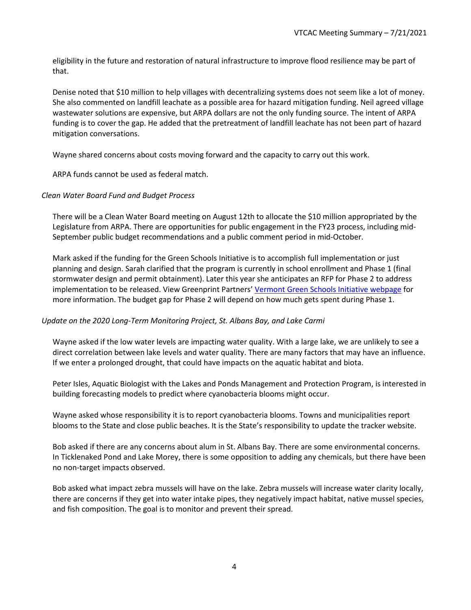eligibility in the future and restoration of natural infrastructure to improve flood resilience may be part of that.

Denise noted that \$10 million to help villages with decentralizing systems does not seem like a lot of money. She also commented on landfill leachate as a possible area for hazard mitigation funding. Neil agreed village wastewater solutions are expensive, but ARPA dollars are not the only funding source. The intent of ARPA funding is to cover the gap. He added that the pretreatment of landfill leachate has not been part of hazard mitigation conversations.

Wayne shared concerns about costs moving forward and the capacity to carry out this work.

ARPA funds cannot be used as federal match.

#### *Clean Water Board Fund and Budget Process*

There will be a Clean Water Board meeting on August 12th to allocate the \$10 million appropriated by the Legislature from ARPA. There are opportunities for public engagement in the FY23 process, including mid-September public budget recommendations and a public comment period in mid-October.

Mark asked if the funding for the Green Schools Initiative is to accomplish full implementation or just planning and design. Sarah clarified that the program is currently in school enrollment and Phase 1 (final stormwater design and permit obtainment). Later this year she anticipates an RFP for Phase 2 to address implementation to be released. View Greenprint Partners' [Vermont Green Schools Initiative webpage](https://www.greenprintpartners.com/vtgreenschools) for more information. The budget gap for Phase 2 will depend on how much gets spent during Phase 1.

#### *Update on the 2020 Long-Term Monitoring Project, St. Albans Bay, and Lake Carmi*

Wayne asked if the low water levels are impacting water quality. With a large lake, we are unlikely to see a direct correlation between lake levels and water quality. There are many factors that may have an influence. If we enter a prolonged drought, that could have impacts on the aquatic habitat and biota.

Peter Isles, Aquatic Biologist with the Lakes and Ponds Management and Protection Program, is interested in building forecasting models to predict where cyanobacteria blooms might occur.

Wayne asked whose responsibility it is to report cyanobacteria blooms. Towns and municipalities report blooms to the State and close public beaches. It is the State's responsibility to update the tracker website.

Bob asked if there are any concerns about alum in St. Albans Bay. There are some environmental concerns. In Ticklenaked Pond and Lake Morey, there is some opposition to adding any chemicals, but there have been no non-target impacts observed.

Bob asked what impact zebra mussels will have on the lake. Zebra mussels will increase water clarity locally, there are concerns if they get into water intake pipes, they negatively impact habitat, native mussel species, and fish composition. The goal is to monitor and prevent their spread.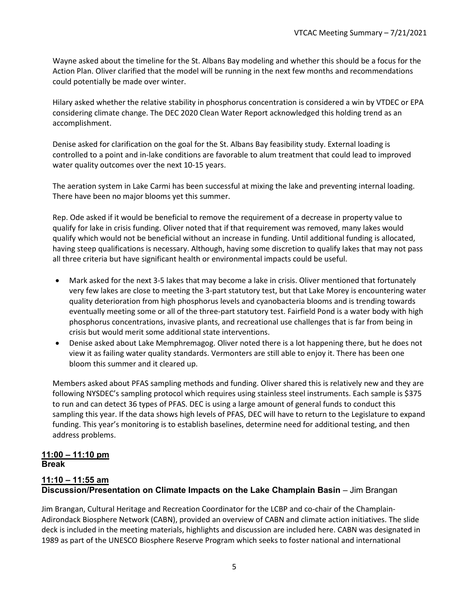Wayne asked about the timeline for the St. Albans Bay modeling and whether this should be a focus for the Action Plan. Oliver clarified that the model will be running in the next few months and recommendations could potentially be made over winter.

Hilary asked whether the relative stability in phosphorus concentration is considered a win by VTDEC or EPA considering climate change. The DEC 2020 Clean Water Report acknowledged this holding trend as an accomplishment.

Denise asked for clarification on the goal for the St. Albans Bay feasibility study. External loading is controlled to a point and in-lake conditions are favorable to alum treatment that could lead to improved water quality outcomes over the next 10-15 years.

The aeration system in Lake Carmi has been successful at mixing the lake and preventing internal loading. There have been no major blooms yet this summer.

Rep. Ode asked if it would be beneficial to remove the requirement of a decrease in property value to qualify for lake in crisis funding. Oliver noted that if that requirement was removed, many lakes would qualify which would not be beneficial without an increase in funding. Until additional funding is allocated, having steep qualifications is necessary. Although, having some discretion to qualify lakes that may not pass all three criteria but have significant health or environmental impacts could be useful.

- Mark asked for the next 3-5 lakes that may become a lake in crisis. Oliver mentioned that fortunately very few lakes are close to meeting the 3-part statutory test, but that Lake Morey is encountering water quality deterioration from high phosphorus levels and cyanobacteria blooms and is trending towards eventually meeting some or all of the three-part statutory test. Fairfield Pond is a water body with high phosphorus concentrations, invasive plants, and recreational use challenges that is far from being in crisis but would merit some additional state interventions.
- Denise asked about Lake Memphremagog. Oliver noted there is a lot happening there, but he does not view it as failing water quality standards. Vermonters are still able to enjoy it. There has been one bloom this summer and it cleared up.

Members asked about PFAS sampling methods and funding. Oliver shared this is relatively new and they are following NYSDEC's sampling protocol which requires using stainless steel instruments. Each sample is \$375 to run and can detect 36 types of PFAS. DEC is using a large amount of general funds to conduct this sampling this year. If the data shows high levels of PFAS, DEC will have to return to the Legislature to expand funding. This year's monitoring is to establish baselines, determine need for additional testing, and then address problems.

#### **11:00 – 11:10 pm Break**

# **11:10 – 11:55 am Discussion/Presentation on Climate Impacts on the Lake Champlain Basin** – Jim Brangan

Jim Brangan, Cultural Heritage and Recreation Coordinator for the LCBP and co-chair of the Champlain-Adirondack Biosphere Network (CABN), provided an overview of CABN and climate action initiatives. The slide deck is included in the meeting materials, highlights and discussion are included here. CABN was designated in 1989 as part of the UNESCO Biosphere Reserve Program which seeks to foster national and international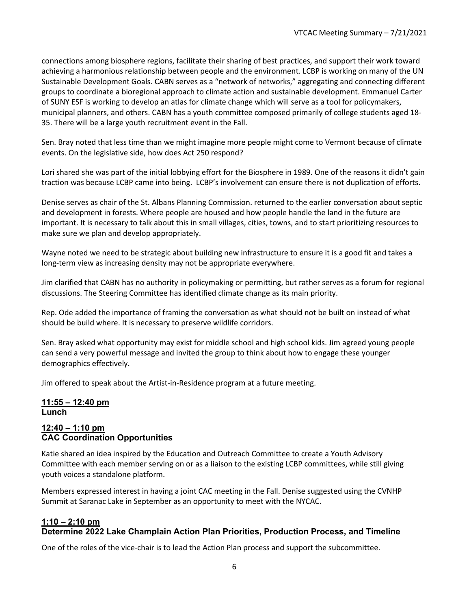connections among biosphere regions, facilitate their sharing of best practices, and support their work toward achieving a harmonious relationship between people and the environment. LCBP is working on many of the UN Sustainable Development Goals. CABN serves as a "network of networks," aggregating and connecting different groups to coordinate a bioregional approach to climate action and sustainable development. Emmanuel Carter of SUNY ESF is working to develop an atlas for climate change which will serve as a tool for policymakers, municipal planners, and others. CABN has a youth committee composed primarily of college students aged 18- 35. There will be a large youth recruitment event in the Fall.

Sen. Bray noted that less time than we might imagine more people might come to Vermont because of climate events. On the legislative side, how does Act 250 respond?

Lori shared she was part of the initial lobbying effort for the Biosphere in 1989. One of the reasons it didn't gain traction was because LCBP came into being. LCBP's involvement can ensure there is not duplication of efforts.

Denise serves as chair of the St. Albans Planning Commission. returned to the earlier conversation about septic and development in forests. Where people are housed and how people handle the land in the future are important. It is necessary to talk about this in small villages, cities, towns, and to start prioritizing resources to make sure we plan and develop appropriately.

Wayne noted we need to be strategic about building new infrastructure to ensure it is a good fit and takes a long-term view as increasing density may not be appropriate everywhere.

Jim clarified that CABN has no authority in policymaking or permitting, but rather serves as a forum for regional discussions. The Steering Committee has identified climate change as its main priority.

Rep. Ode added the importance of framing the conversation as what should not be built on instead of what should be build where. It is necessary to preserve wildlife corridors.

Sen. Bray asked what opportunity may exist for middle school and high school kids. Jim agreed young people can send a very powerful message and invited the group to think about how to engage these younger demographics effectively.

Jim offered to speak about the Artist-in-Residence program at a future meeting.

#### **11:55 – 12:40 pm Lunch**

#### **12:40 – 1:10 pm CAC Coordination Opportunities**

Katie shared an idea inspired by the Education and Outreach Committee to create a Youth Advisory Committee with each member serving on or as a liaison to the existing LCBP committees, while still giving youth voices a standalone platform.

Members expressed interest in having a joint CAC meeting in the Fall. Denise suggested using the CVNHP Summit at Saranac Lake in September as an opportunity to meet with the NYCAC.

# **1:10 – 2:10 pm**

#### **Determine 2022 Lake Champlain Action Plan Priorities, Production Process, and Timeline**

One of the roles of the vice-chair is to lead the Action Plan process and support the subcommittee.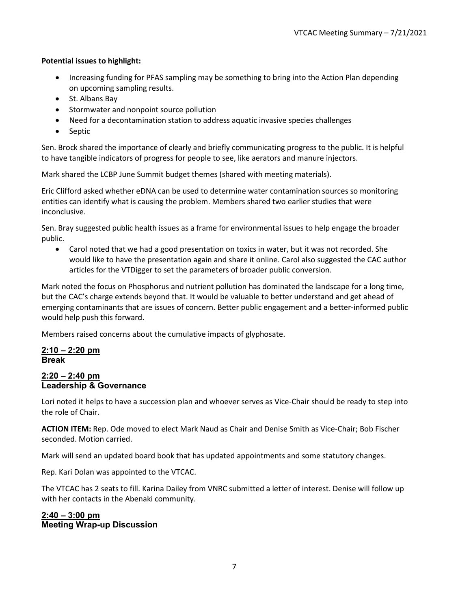#### **Potential issues to highlight:**

- Increasing funding for PFAS sampling may be something to bring into the Action Plan depending on upcoming sampling results.
- St. Albans Bay
- Stormwater and nonpoint source pollution
- Need for a decontamination station to address aquatic invasive species challenges
- Septic

Sen. Brock shared the importance of clearly and briefly communicating progress to the public. It is helpful to have tangible indicators of progress for people to see, like aerators and manure injectors.

Mark shared the LCBP June Summit budget themes (shared with meeting materials).

Eric Clifford asked whether eDNA can be used to determine water contamination sources so monitoring entities can identify what is causing the problem. Members shared two earlier studies that were inconclusive.

Sen. Bray suggested public health issues as a frame for environmental issues to help engage the broader public.

• Carol noted that we had a good presentation on toxics in water, but it was not recorded. She would like to have the presentation again and share it online. Carol also suggested the CAC author articles for the VTDigger to set the parameters of broader public conversion.

Mark noted the focus on Phosphorus and nutrient pollution has dominated the landscape for a long time, but the CAC's charge extends beyond that. It would be valuable to better understand and get ahead of emerging contaminants that are issues of concern. Better public engagement and a better-informed public would help push this forward.

Members raised concerns about the cumulative impacts of glyphosate.

#### **2:10 – 2:20 pm Break**

#### **2:20 – 2:40 pm Leadership & Governance**

Lori noted it helps to have a succession plan and whoever serves as Vice-Chair should be ready to step into the role of Chair.

**ACTION ITEM:** Rep. Ode moved to elect Mark Naud as Chair and Denise Smith as Vice-Chair; Bob Fischer seconded. Motion carried.

Mark will send an updated board book that has updated appointments and some statutory changes.

Rep. Kari Dolan was appointed to the VTCAC.

The VTCAC has 2 seats to fill. Karina Dailey from VNRC submitted a letter of interest. Denise will follow up with her contacts in the Abenaki community.

### **2:40 – 3:00 pm Meeting Wrap-up Discussion**